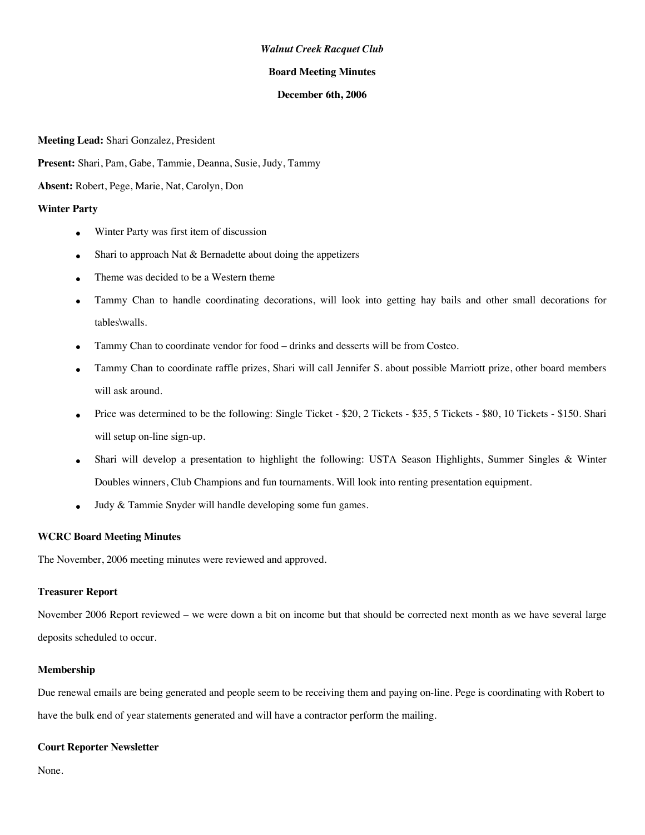#### *Walnut Creek Racquet Club*

#### **Board Meeting Minutes**

#### **December 6th, 2006**

**Meeting Lead:** Shari Gonzalez, President

**Present:** Shari, Pam, Gabe, Tammie, Deanna, Susie, Judy, Tammy

**Absent:** Robert, Pege, Marie, Nat, Carolyn, Don

## **Winter Party**

- Winter Party was first item of discussion
- Shari to approach Nat  $&$  Bernadette about doing the appetizers
- Theme was decided to be a Western theme
- Tammy Chan to handle coordinating decorations, will look into getting hay bails and other small decorations for tables\walls.
- Tammy Chan to coordinate vendor for food drinks and desserts will be from Costco.
- Tammy Chan to coordinate raffle prizes, Shari will call Jennifer S. about possible Marriott prize, other board members will ask around.
- Price was determined to be the following: Single Ticket \$20, 2 Tickets \$35, 5 Tickets \$80, 10 Tickets \$150. Shari will setup on-line sign-up.
- Shari will develop a presentation to highlight the following: USTA Season Highlights, Summer Singles & Winter Doubles winners, Club Champions and fun tournaments. Will look into renting presentation equipment.
- Judy & Tammie Snyder will handle developing some fun games.

### **WCRC Board Meeting Minutes**

The November, 2006 meeting minutes were reviewed and approved.

### **Treasurer Report**

November 2006 Report reviewed – we were down a bit on income but that should be corrected next month as we have several large deposits scheduled to occur.

### **Membership**

Due renewal emails are being generated and people seem to be receiving them and paying on-line. Pege is coordinating with Robert to have the bulk end of year statements generated and will have a contractor perform the mailing.

## **Court Reporter Newsletter**

None.